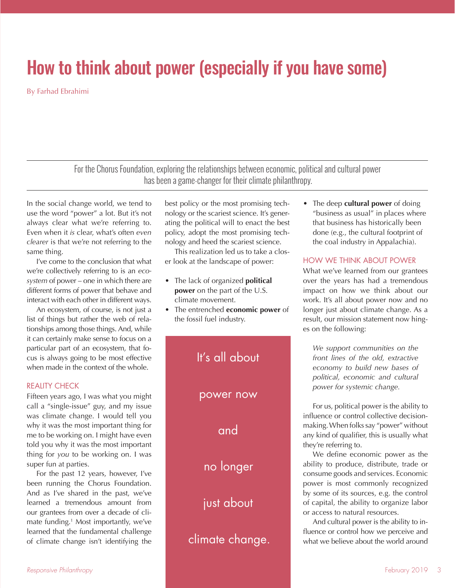# How to think about power (especially if you have some)

By Farhad Ebrahimi

For the Chorus Foundation, exploring the relationships between economic, political and cultural power has been a game-changer for their climate philanthropy.

In the social change world, we tend to use the word "power" a lot. But it's not always clear what we're referring to. Even when it *is* clear, what's often *even clearer* is that we're not referring to the same thing.

I've come to the conclusion that what we're collectively referring to is an *ecosystem* of power – one in which there are different forms of power that behave and interact with each other in different ways.

An ecosystem, of course, is not just a list of things but rather the web of relationships among those things. And, while it can certainly make sense to focus on a particular part of an ecosystem, that focus is always going to be most effective when made in the context of the whole.

# REALITY CHECK

Fifteen years ago, I was what you might call a "single-issue" guy, and my issue was climate change. I would tell you why it was the most important thing for me to be working on. I might have even told you why it was the most important thing for *you* to be working on. I was super fun at parties.

For the past 12 years, however, I've been running the Chorus Foundation. And as I've shared in the past, we've learned a tremendous amount from our grantees from over a decade of climate funding.1 Most importantly, we've learned that the fundamental challenge of climate change isn't identifying the

best policy or the most promising technology or the scariest science. It's generating the political will to enact the best policy, adopt the most promising technology and heed the scariest science.

This realization led us to take a closer look at the landscape of power:

- The lack of organized **political power** on the part of the U.S. climate movement.
- The entrenched **economic power** of the fossil fuel industry.



• The deep **cultural power** of doing "business as usual" in places where that business has historically been done (e.g., the cultural footprint of the coal industry in Appalachia).

#### HOW WE THINK ABOUT POWER

What we've learned from our grantees over the years has had a tremendous impact on how we think about our work. It's all about power now and no longer just about climate change. As a result, our mission statement now hinges on the following:

*We support communities on the front lines of the old, extractive economy to build new bases of political, economic and cultural power for systemic change.*

For us, political power is the ability to influence or control collective decisionmaking. When folks say "power" without any kind of qualifier, this is usually what they're referring to.

We define economic power as the ability to produce, distribute, trade or consume goods and services. Economic power is most commonly recognized by some of its sources, e.g. the control of capital, the ability to organize labor or access to natural resources.

And cultural power is the ability to influence or control how we perceive and what we believe about the world around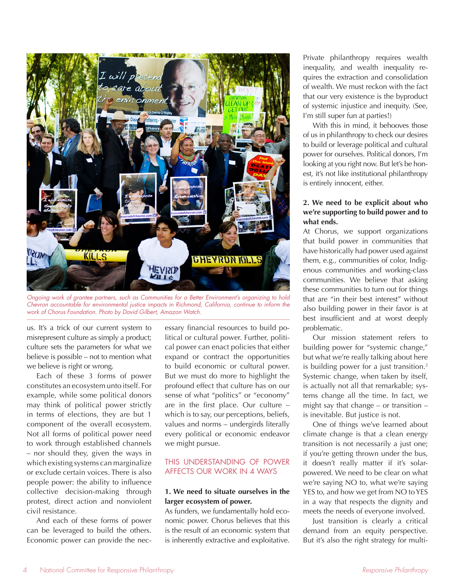

*Ongoing work of grantee partners, such as Communities for a Better Environment's organizing to hold Chevron accountable for environmental justice impacts in Richmond, California, continue to inform the work of Chorus Foundation. Photo by David Gilbert, Amazon Watch.*

us. It's a trick of our current system to misrepresent culture as simply a product; culture sets the parameters for what we believe is possible – not to mention what we believe is right or wrong.

Each of these 3 forms of power constitutes an ecosystem unto itself. For example, while some political donors may think of political power strictly in terms of elections, they are but 1 component of the overall ecosystem. Not all forms of political power need to work through established channels – nor should they, given the ways in which existing systems can marginalize or exclude certain voices. There is also people power: the ability to influence collective decision-making through protest, direct action and nonviolent civil resistance.

And each of these forms of power can be leveraged to build the others. Economic power can provide the necessary financial resources to build political or cultural power. Further, political power can enact policies that either expand or contract the opportunities to build economic or cultural power. But we must do more to highlight the profound effect that culture has on our sense of what "politics" or "economy" are in the first place. Our culture – which is to say, our perceptions, beliefs, values and norms – undergirds literally every political or economic endeavor we might pursue.

# THIS UNDERSTANDING OF POWER AFFECTS OUR WORK IN 4 WAYS

#### **1. We need to situate ourselves in the larger ecosystem of power.**

As funders, we fundamentally hold economic power. Chorus believes that this is the result of an economic system that is inherently extractive and exploitative. Private philanthropy requires wealth inequality, and wealth inequality requires the extraction and consolidation of wealth. We must reckon with the fact that our very existence is the byproduct of systemic injustice and inequity. (See, I'm still super fun at parties!)

With this in mind, it behooves those of us in philanthropy to check our desires to build or leverage political and cultural power for ourselves. Political donors, I'm looking at you right now. But let's be honest, it's not like institutional philanthropy is entirely innocent, either.

# **2. We need to be explicit about who we're supporting to build power and to what ends.**

At Chorus, we support organizations that build power in communities that have historically had power used against them, e.g., communities of color, Indigenous communities and working-class communities. We believe that asking these communities to turn out for things that are "in their best interest" without also building power in their favor is at best insufficient and at worst deeply problematic.

Our mission statement refers to building power for "systemic change," but what we're really talking about here is building power for a just transition.<sup>2</sup> Systemic change, when taken by itself, is actually not all that remarkable; systems change all the time. In fact, we might say that change – or transition – is inevitable. But justice is not.

One of things we've learned about climate change is that a clean energy transition is not necessarily a just one; if you're getting thrown under the bus, it doesn't really matter if it's solarpowered. We need to be clear on what we're saying NO to, what we're saying YES to, and how we get from NO to YES in a way that respects the dignity and meets the needs of everyone involved.

Just transition is clearly a critical demand from an equity perspective. But it's also the right strategy for multi